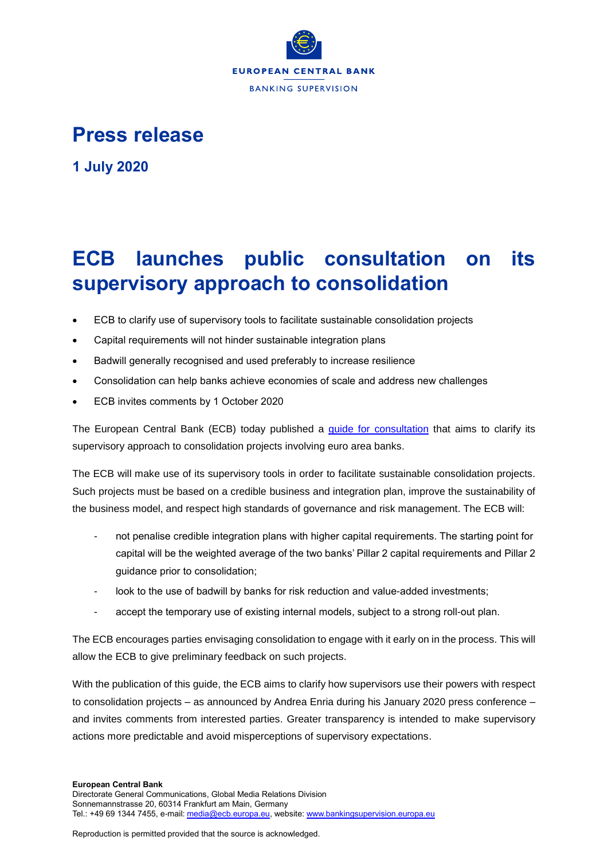

## **Press release**

**1 July 2020**

## **ECB launches public consultation on its supervisory approach to consolidation**

- ECB to clarify use of supervisory tools to facilitate sustainable consolidation projects
- Capital requirements will not hinder sustainable integration plans
- Badwill generally recognised and used preferably to increase resilience
- Consolidation can help banks achieve economies of scale and address new challenges
- ECB invites comments by 1 October 2020

The European Central Bank (ECB) today published a [guide for consultation](https://www.bankingsupervision.europa.eu/legalframework/publiccons/pdf/consolidation/ssm.guideconsolidation_draft.en.pdf) that aims to clarify its supervisory approach to consolidation projects involving euro area banks.

The ECB will make use of its supervisory tools in order to facilitate sustainable consolidation projects. Such projects must be based on a credible business and integration plan, improve the sustainability of the business model, and respect high standards of governance and risk management. The ECB will:

- not penalise credible integration plans with higher capital requirements. The starting point for capital will be the weighted average of the two banks' Pillar 2 capital requirements and Pillar 2 guidance prior to consolidation;
- look to the use of badwill by banks for risk reduction and value-added investments;
- accept the temporary use of existing internal models, subject to a strong roll-out plan.

The ECB encourages parties envisaging consolidation to engage with it early on in the process. This will allow the ECB to give preliminary feedback on such projects.

With the publication of this guide, the ECB aims to clarify how supervisors use their powers with respect to consolidation projects – as announced by Andrea Enria during his January 2020 press conference – and invites comments from interested parties. Greater transparency is intended to make supervisory actions more predictable and avoid misperceptions of supervisory expectations.